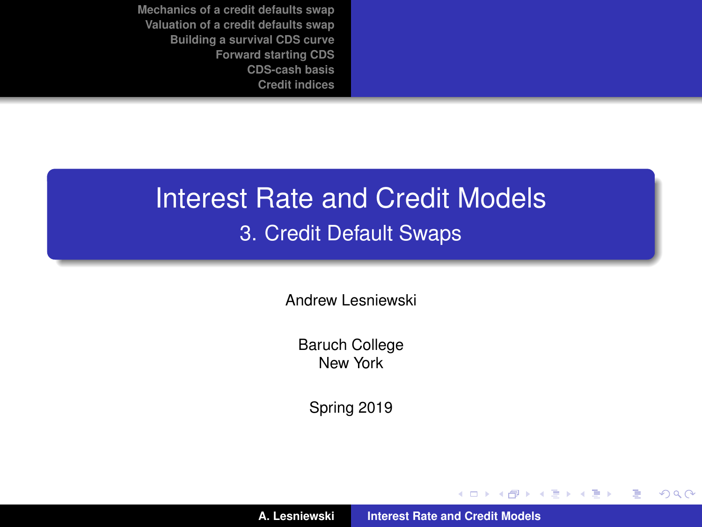# Interest Rate and Credit Models 3. Credit Default Swaps

Andrew Lesniewski

Baruch College New York

Spring 2019

(ロトス個) (運) (運)

<span id="page-0-0"></span> $2Q$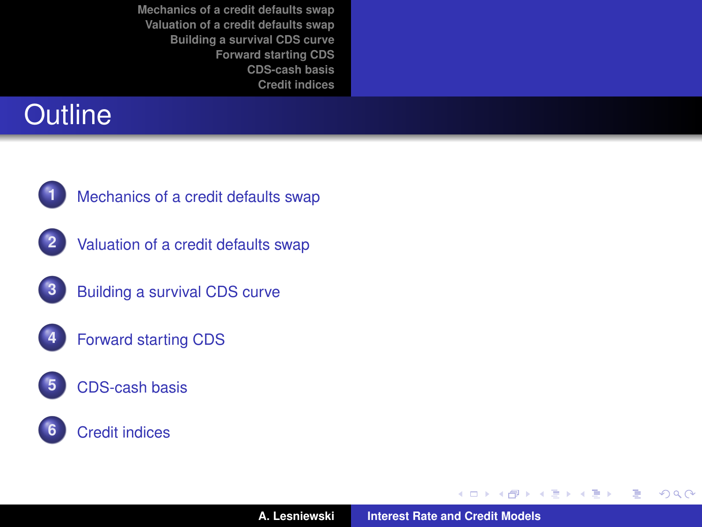# **Outline**



**1** [Mechanics of a credit defaults swap](#page-2-0)



**2** [Valuation of a credit defaults swap](#page-12-0)



- **4** [Forward starting CDS](#page-32-0)
- **5** [CDS-cash basis](#page-36-0)

#### **6** [Credit indices](#page-38-0)

→ 君をす者を

**← ロ → → イ 同 →** 

<span id="page-1-0"></span> $299$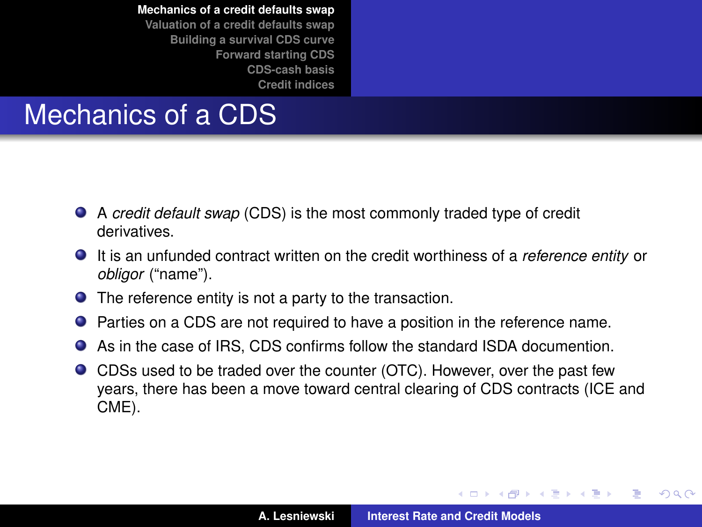#### Mechanics of a CDS

- A *credit default swap* (CDS) is the most commonly traded type of credit derivatives.
- It is an unfunded contract written on the credit worthiness of a *reference entity* or *obligor* ("name").
- **•** The reference entity is not a party to the transaction.
- **•** Parties on a CDS are not required to have a position in the reference name.
- As in the case of IRS, CDS confirms follow the standard ISDA documention.
- CDSs used to be traded over the counter (OTC). However, over the past few years, there has been a move toward central clearing of CDS contracts (ICE and CME).

イロメ イ部メ イヨメ イヨメー

Þ

<span id="page-2-0"></span> $298$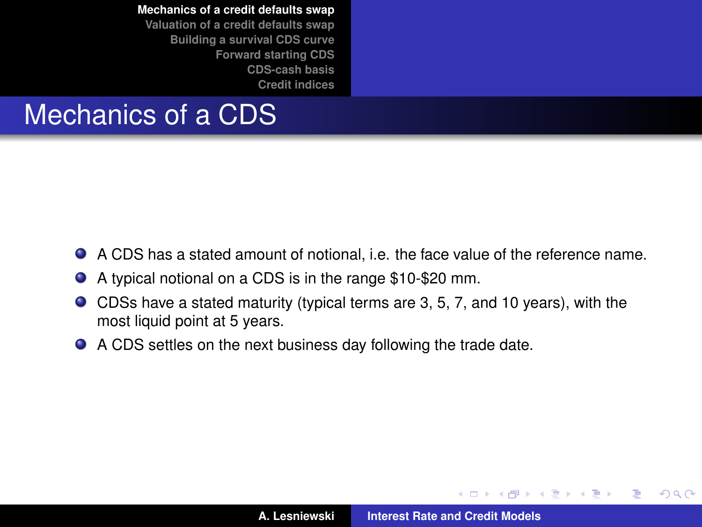**[Mechanics of a credit defaults swap](#page-2-0) [Valuation of a credit defaults swap](#page-12-0) [Building a survival CDS curve](#page-27-0) [Forward starting CDS](#page-32-0)**

**[CDS-cash basis](#page-36-0) [Credit indices](#page-38-0)**

# Mechanics of a CDS

- A CDS has a stated amount of notional, i.e. the face value of the reference name.
- A typical notional on a CDS is in the range \$10-\$20 mm.
- CDSs have a stated maturity (typical terms are 3, 5, 7, and 10 years), with the most liquid point at 5 years.
- A CDS settles on the next business day following the trade date.

(ロトス個) (運) (運)

Þ

 $298$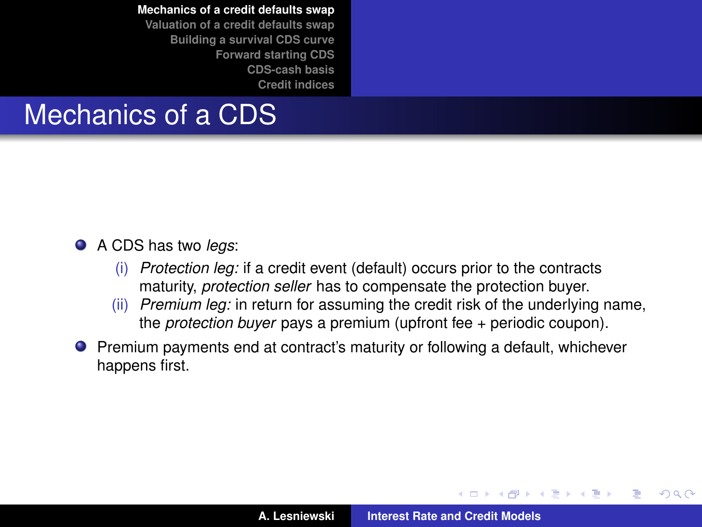**[Mechanics of a credit defaults swap](#page-2-0)**

**[Valuation of a credit defaults swap](#page-12-0) [Building a survival CDS curve](#page-27-0) [Forward starting CDS](#page-32-0) [CDS-cash basis](#page-36-0) [Credit indices](#page-38-0)**

#### Mechanics of a CDS

#### A CDS has two *legs*:

- (i) *Protection leg:* if a credit event (default) occurs prior to the contracts maturity, *protection seller* has to compensate the protection buyer.
- (ii) *Premium leg:* in return for assuming the credit risk of the underlying name, the *protection buyer* pays a premium (upfront fee + periodic coupon).
- **•** Premium payments end at contract's maturity or following a default, whichever happens first.

(ロトス個) (運) (運)

 $QQ$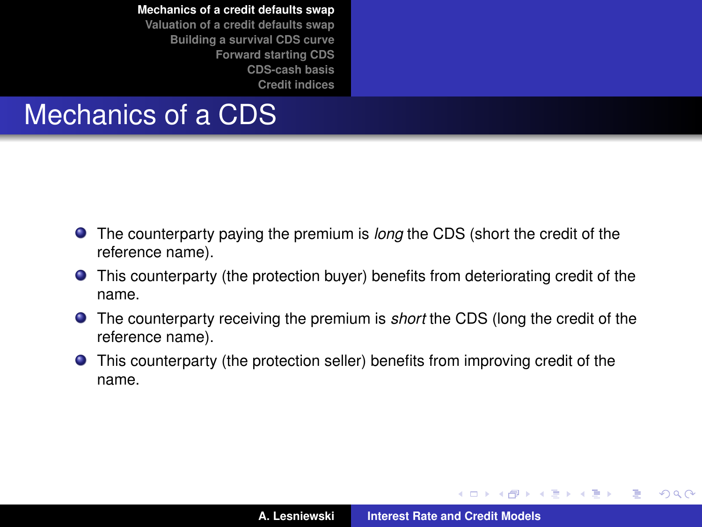**[Credit indices](#page-38-0)**

#### Mechanics of a CDS

- The counterparty paying the premium is *long* the CDS (short the credit of the reference name).
- This counterparty (the protection buyer) benefits from deteriorating credit of the name.
- The counterparty receiving the premium is *short* the CDS (long the credit of the reference name).
- This counterparty (the protection seller) benefits from improving credit of the name.

イロメ イ部メ イヨメ イヨメー

 $QQ$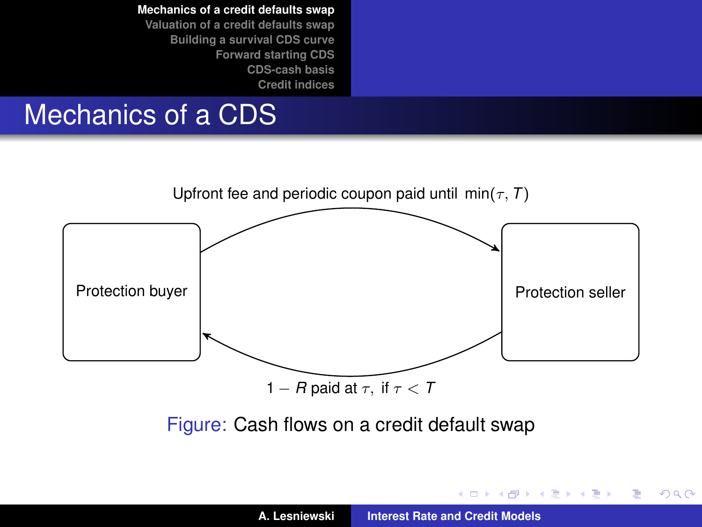**[Mechanics of a credit defaults swap](#page-2-0) [Valuation of a credit defaults swap](#page-12-0) [Building a survival CDS curve](#page-27-0) [Forward starting CDS](#page-32-0)**

**[CDS-cash basis](#page-36-0) [Credit indices](#page-38-0)**

# Mechanics of a CDS



イロメ イ部メ イヨメ イヨメー

 $2Q$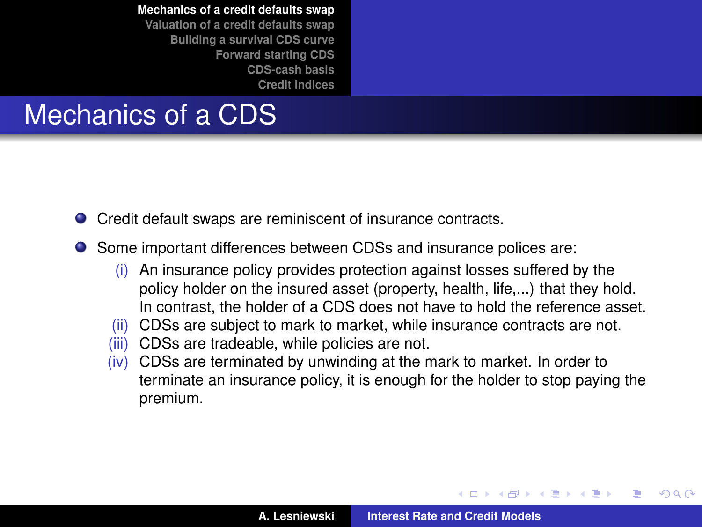### Mechanics of a CDS

- Credit default swaps are reminiscent of insurance contracts.
- Some important differences between CDSs and insurance polices are:
	- (i) An insurance policy provides protection against losses suffered by the policy holder on the insured asset (property, health, life,...) that they hold. In contrast, the holder of a CDS does not have to hold the reference asset.
	- (ii) CDSs are subject to mark to market, while insurance contracts are not.
	- (iii) CDSs are tradeable, while policies are not.
	- (iv) CDSs are terminated by unwinding at the mark to market. In order to terminate an insurance policy, it is enough for the holder to stop paying the premium.

イロト イ押ト イヨト イヨト

<span id="page-7-0"></span> $QQ$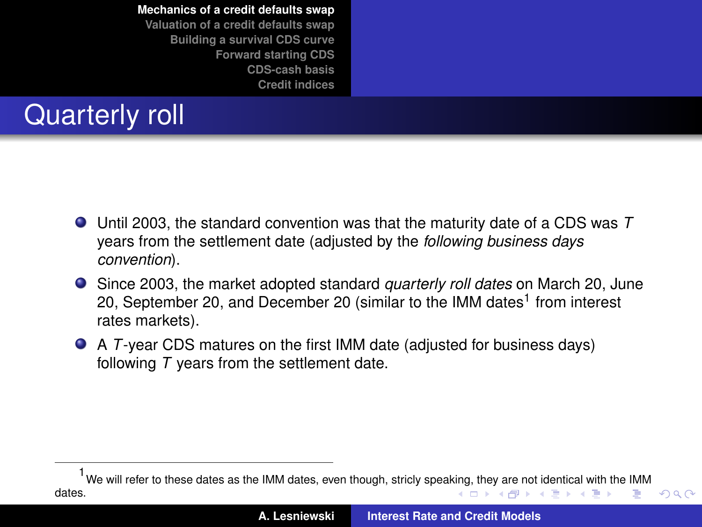**[Mechanics of a credit defaults swap](#page-2-0) [Valuation of a credit defaults swap](#page-12-0) [Building a survival CDS curve](#page-27-0) [Forward starting CDS](#page-32-0)**

> **[CDS-cash basis](#page-36-0) [Credit indices](#page-38-0)**

# Quarterly roll

- Until 2003, the standard convention was that the maturity date of a CDS was *T* years from the settlement date (adjusted by the *following business days convention*).
- Since 2003, the market adopted standard *quarterly roll dates* on March 20, June 20, September 20, and December 20 (similar to the IMM dates<sup>1</sup> from interest rates markets).
- A *T*-year CDS matures on the first IMM date (adjusted for business days) following *T* years from the settlement date.

<span id="page-8-0"></span>We will refer to these dates as the IMM dates, even though, stricly spea[king](#page-7-0), [the](#page-9-0)[y a](#page-7-0)[re](#page-8-0) [no](#page-9-0)[t i](#page-1-0)[de](#page-2-0)[nt](#page-11-0)[ic](#page-12-0)[al](#page-1-0) [wi](#page-2-0)[th](#page-11-0) [t](#page-12-0)[he I](#page-0-0)[MM](#page-45-0) dates. イロト イ押 トイラ トイラト ÷.  $QQ$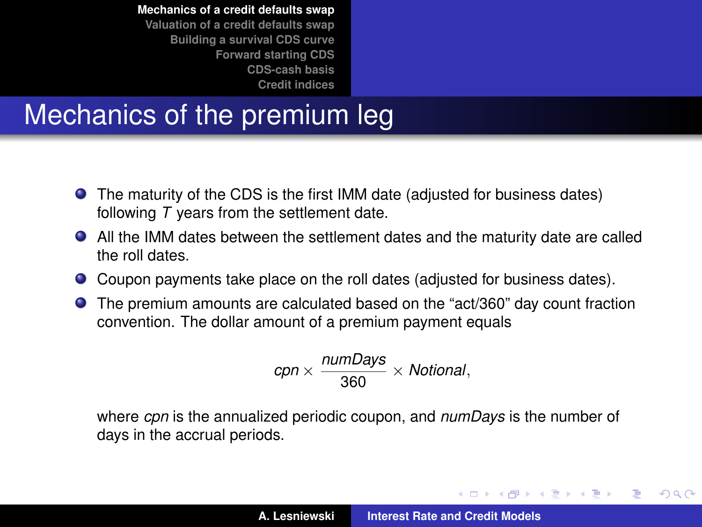**[Mechanics of a credit defaults swap](#page-2-0) [Valuation of a credit defaults swap](#page-12-0) [Building a survival CDS curve](#page-27-0) [Forward starting CDS](#page-32-0)**

**[CDS-cash basis](#page-36-0) [Credit indices](#page-38-0)**

## Mechanics of the premium leg

- The maturity of the CDS is the first IMM date (adjusted for business dates) following *T* years from the settlement date.
- All the IMM dates between the settlement dates and the maturity date are called the roll dates.
- Coupon payments take place on the roll dates (adjusted for business dates).
- The premium amounts are calculated based on the "act/360" day count fraction convention. The dollar amount of a premium payment equals

$$
cpn \times \frac{numdays}{360} \times Notional,
$$

where *cpn* is the annualized periodic coupon, and *numDays* is the number of days in the accrual periods.

イロメ イ部メ イヨメ イヨメー

<span id="page-9-0"></span>Þ

 $QQ$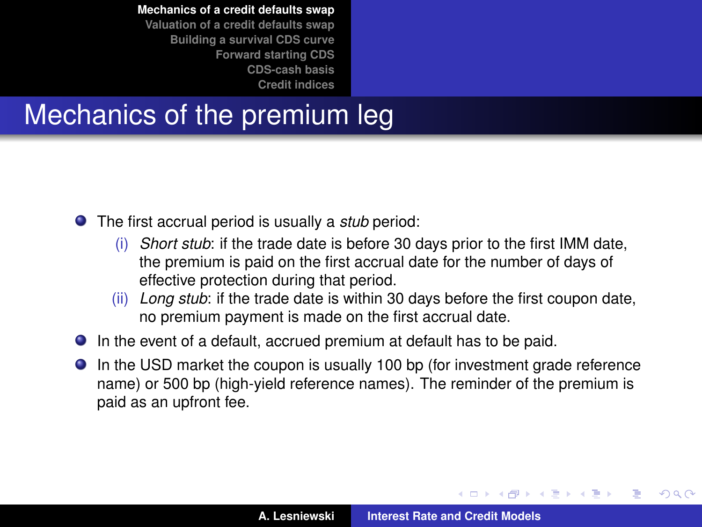**[Mechanics of a credit defaults swap](#page-2-0)**

**[Valuation of a credit defaults swap](#page-12-0) [Building a survival CDS curve](#page-27-0) [Forward starting CDS](#page-32-0) [CDS-cash basis](#page-36-0) [Credit indices](#page-38-0)**

# Mechanics of the premium leg

The first accrual period is usually a *stub* period:

- (i) *Short stub*: if the trade date is before 30 days prior to the first IMM date, the premium is paid on the first accrual date for the number of days of effective protection during that period.
- (ii) *Long stub*: if the trade date is within 30 days before the first coupon date, no premium payment is made on the first accrual date.
- In the event of a default, accrued premium at default has to be paid.
- In the USD market the coupon is usually 100 bp (for investment grade reference name) or 500 bp (high-yield reference names). The reminder of the premium is paid as an upfront fee.

(ロトス個) (運) (運)

 $QQ$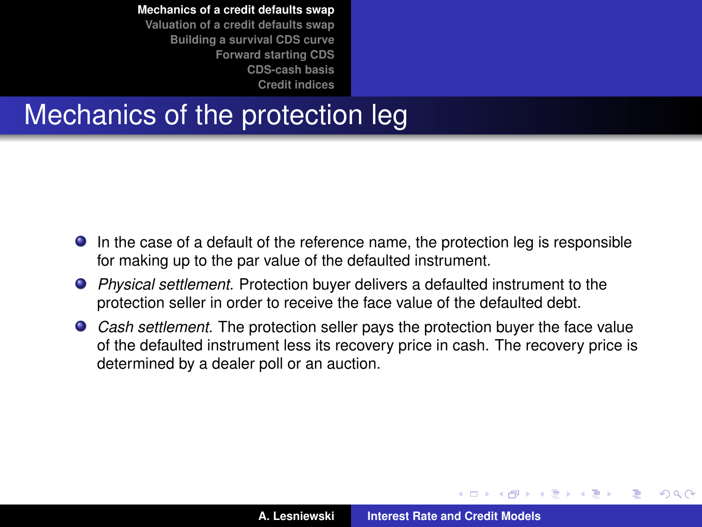**[Mechanics of a credit defaults swap](#page-2-0)**

**[Valuation of a credit defaults swap](#page-12-0) [Building a survival CDS curve](#page-27-0) [Forward starting CDS](#page-32-0) [CDS-cash basis](#page-36-0) [Credit indices](#page-38-0)**

#### Mechanics of the protection leg

- In the case of a default of the reference name, the protection leg is responsible for making up to the par value of the defaulted instrument.
- *Physical settlement.* Protection buyer delivers a defaulted instrument to the protection seller in order to receive the face value of the defaulted debt.
- *Cash settlement.* The protection seller pays the protection buyer the face value of the defaulted instrument less its recovery price in cash. The recovery price is determined by a dealer poll or an auction.

 $\left\{ \begin{array}{ccc} 1 & 0 & 0 \\ 0 & 1 & 0 \end{array} \right.$ 

<span id="page-11-0"></span> $QQQ$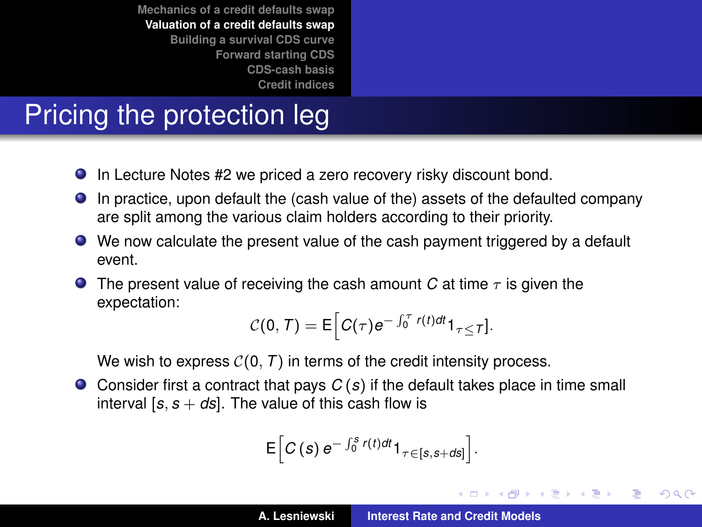# Pricing the protection leg

- In Lecture Notes #2 we priced a zero recovery risky discount bond.
- In practice, upon default the (cash value of the) assets of the defaulted company are split among the various claim holders according to their priority.
- We now calculate the present value of the cash payment triggered by a default event.
- **The present value of receiving the cash amount** *C* **at time**  $\tau$  **is given the** expectation:

$$
C(0, T) = \mathsf{E}\Big[C(\tau)e^{-\int_0^{\tau}r(t)dt}\mathbf{1}_{\tau\leq T}].
$$

We wish to express  $C(0, T)$  in terms of the credit intensity process.

Consider first a contract that pays *C* (*s*) if the default takes place in time small interval  $[s, s + ds]$ . The value of this cash flow is

$$
\mathsf{E}\Big[C\left(s\right)e^{-\int_0^s r(t)dt}\mathbf{1}_{\tau\in[s,s+ds]}\Big].
$$

イロメ イ部メ イヨメ イヨメー

Þ

<span id="page-12-0"></span> $298$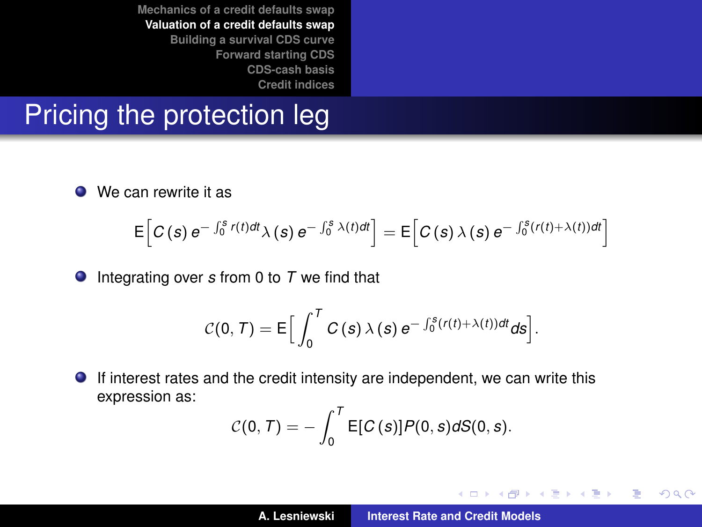#### Pricing the protection leg

● We can rewrite it as

$$
\mathsf{E}\Big[C\left(s\right)e^{-\int_0^s r(t)dt}\lambda\left(s\right)e^{-\int_0^s \lambda(t)dt}\Big]=\mathsf{E}\Big[C\left(s\right)\lambda\left(s\right)e^{-\int_0^s (r(t)+\lambda(t))dt}\Big]
$$

Integrating over *s* from 0 to *T* we find that

$$
C(0, T) = \mathsf{E}\Big[\int_0^T C(s) \,\lambda(s) \, e^{-\int_0^s (r(t)+\lambda(t)) dt} ds\Big].
$$

If interest rates and the credit intensity are independent, we can write this  $\bullet$ expression as:

$$
C(0, T) = -\int_0^T \mathsf{E}[C(s)] P(0, s) dS(0, s).
$$

イロメ イ部メ イヨメ イヨメー

 $299$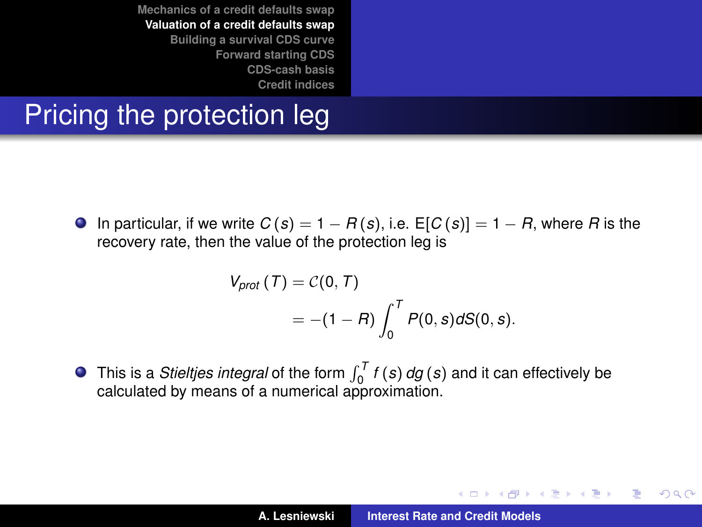### Pricing the protection leg

**O** In particular, if we write  $C(s) = 1 - R(s)$ , i.e.  $E[C(s)] = 1 - R$ , where R is the recovery rate, then the value of the protection leg is

$$
V_{prot}(T) = C(0, T)
$$
  
= -(1 - R)  $\int_0^T P(0, s) dS(0, s)$ .

This is a *Stieltjes integral* of the form  $\int_0^T f(s) \, dg(s)$  and it can effectively be calculated by means of a numerical approximation.

イロメ イ部メ イヨメ イヨメー

Þ  $2Q$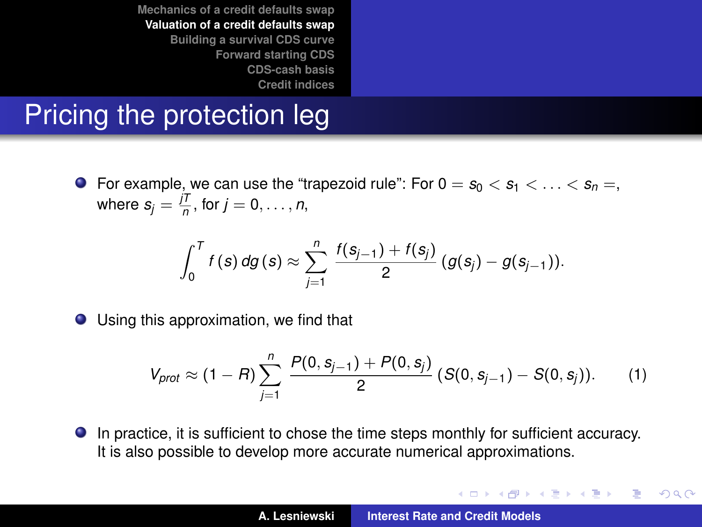# Pricing the protection leg

**•** For example, we can use the "trapezoid rule": For  $0 = s_0 < s_1 < \ldots < s_n =$ , where  $s_j = \frac{jT}{n}$ , for  $j = 0, \ldots, n$ ,

$$
\int_0^T f(s) \, dg(s) \approx \sum_{j=1}^n \frac{f(s_{j-1}) + f(s_j)}{2} \left( g(s_j) - g(s_{j-1}) \right).
$$

● Using this approximation, we find that

$$
V_{prot} \approx (1 - R) \sum_{j=1}^{n} \frac{P(0, s_{j-1}) + P(0, s_j)}{2} (S(0, s_{j-1}) - S(0, s_j)). \tag{1}
$$

In practice, it is sufficient to chose the time steps monthly for sufficient accuracy. It is also possible to develop more accurate numerical approximations.

イロメ イ団メ イヨメ イヨメー

 $299$ 

B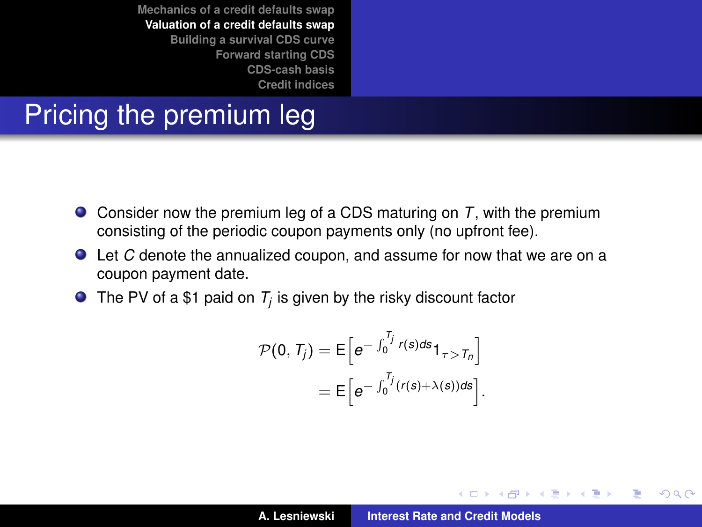# Pricing the premium leg

- Consider now the premium leg of a CDS maturing on *T*, with the premium consisting of the periodic coupon payments only (no upfront fee).
- Let *C* denote the annualized coupon, and assume for now that we are on a coupon payment date.
- The PV of a \$1 paid on  $T_j$  is given by the risky discount factor

$$
\mathcal{P}(0, T_j) = \mathsf{E}\Big[e^{-\int_0^{T_j} r(s)ds} \mathsf{1}_{\tau > T_n}\Big]
$$

$$
= \mathsf{E}\Big[e^{-\int_0^{T_j} (r(s) + \lambda(s))ds}\Big]
$$

.

イロメ イ部メ イヨメ イヨメー

Þ

 $298$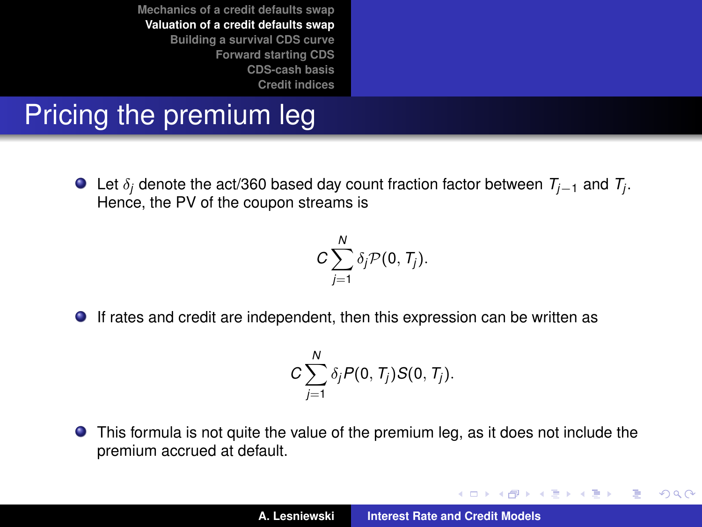# Pricing the premium leg

Let δ*<sup>j</sup>* denote the act/360 based day count fraction factor between *Tj*−<sup>1</sup> and *T<sup>j</sup>* . Hence, the PV of the coupon streams is

$$
C\sum_{j=1}^N \delta_j \mathcal{P}(0,T_j).
$$

If rates and credit are independent, then this expression can be written as

$$
C\sum_{j=1}^N \delta_j P(0,T_j)S(0,T_j).
$$

This formula is not quite the value of the premium leg, as it does not include the premium accrued at default.

イロメ イ部メ イヨメ イヨメー

 $299$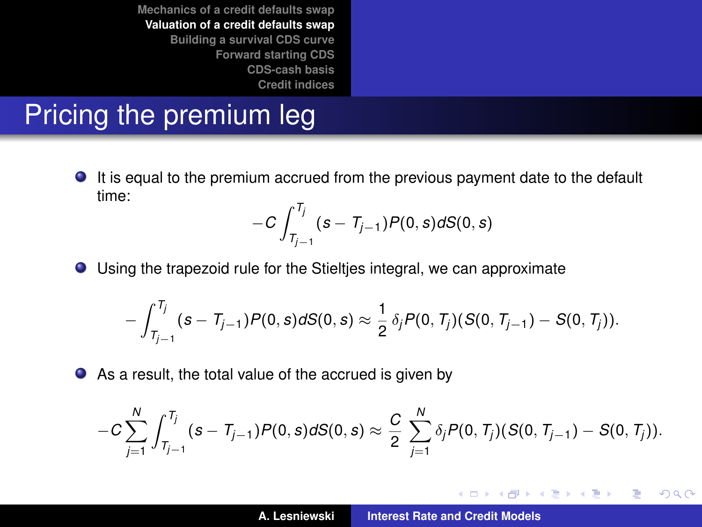# Pricing the premium leg

It is equal to the premium accrued from the previous payment date to the default time:

$$
-C\int_{T_{j-1}}^{T_j}(s-T_{j-1})P(0,s)dS(0,s)
$$

Using the trapezoid rule for the Stieltjes integral, we can approximate

$$
-\int_{T_{j-1}}^{T_j} (s-T_{j-1}) P(0,s) dS(0,s) \approx \frac{1}{2} \delta_j P(0,T_j) (S(0,T_{j-1}) - S(0,T_j)).
$$

As a result, the total value of the accrued is given by

$$
-C\sum_{j=1}^N\int_{T_{j-1}}^{T_j}(s-T_{j-1})P(0,s)dS(0,s)\approx \frac{C}{2}\sum_{j=1}^N\delta_jP(0,T_j)(S(0,T_{j-1})-S(0,T_j)).
$$

イロメ イ部メ イヨメ イヨメー

 $299$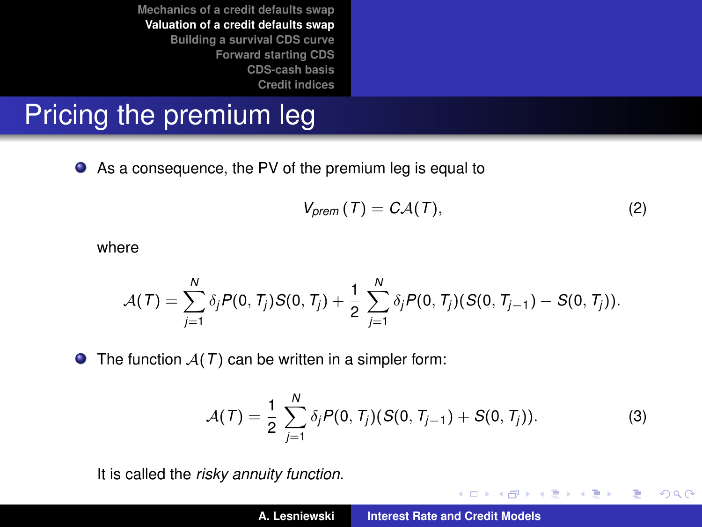# Pricing the premium leg

As a consequence, the PV of the premium leg is equal to

$$
V_{\text{prem}}(T) = C\mathcal{A}(T), \qquad (2)
$$

イロメ イ部メ イヨメ イヨメー

重

 $299$ 

where

$$
\mathcal{A}(T) = \sum_{j=1}^N \delta_j P(0, T_j) S(0, T_j) + \frac{1}{2} \sum_{j=1}^N \delta_j P(0, T_j) (S(0, T_{j-1}) - S(0, T_j)).
$$

 $\bullet$  The function  $A(T)$  can be written in a simpler form:

$$
\mathcal{A}(\mathcal{T}) = \frac{1}{2} \sum_{j=1}^{N} \delta_j P(0, T_j)(S(0, T_{j-1}) + S(0, T_j)). \tag{3}
$$

It is called the *risky annuity function*.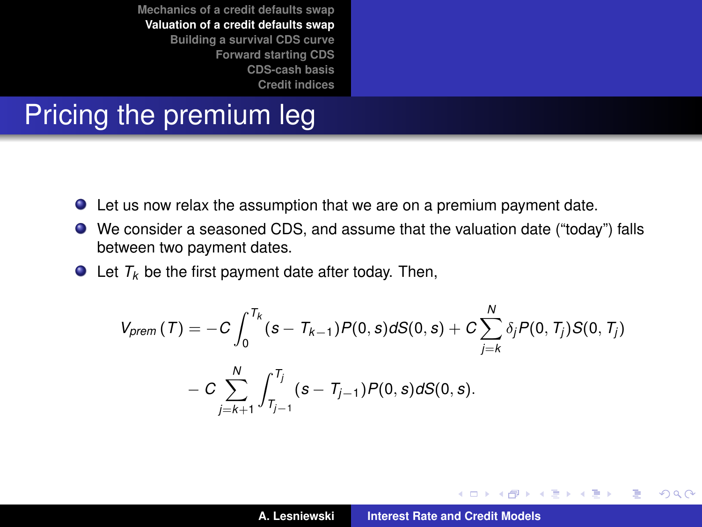### Pricing the premium leg

- Let us now relax the assumption that we are on a premium payment date.
- We consider a seasoned CDS, and assume that the valuation date ("today") falls between two payment dates.
- $\bullet$  Let  $T_k$  be the first payment date after today. Then,

$$
V_{\text{prem}}(T) = -C \int_0^{T_k} (s - T_{k-1}) P(0, s) dS(0, s) + C \sum_{j=k}^N \delta_j P(0, T_j) S(0, T_j)
$$

$$
- C \sum_{j=k+1}^N \int_{T_{j-1}}^{T_j} (s - T_{j-1}) P(0, s) dS(0, s).
$$

イロメ イ部メ イヨメ イヨメー

 $299$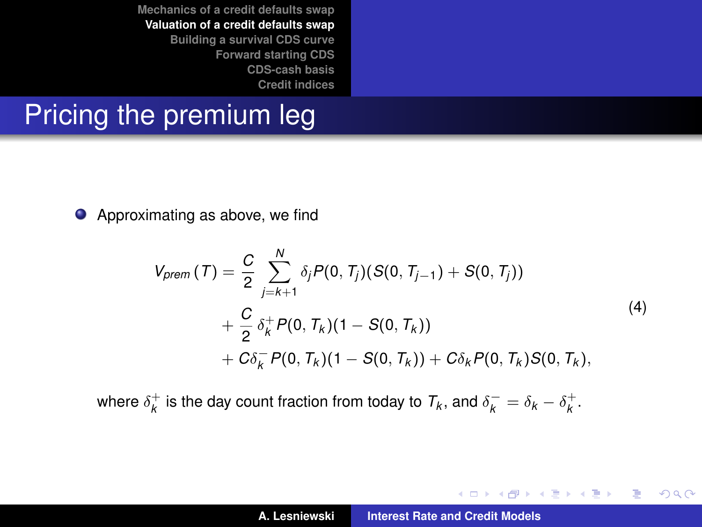# Pricing the premium leg

● Approximating as above, we find

$$
V_{\text{prem}}(T) = \frac{C}{2} \sum_{j=k+1}^{N} \delta_j P(0, T_j)(S(0, T_{j-1}) + S(0, T_j))
$$
  
+  $\frac{C}{2} \delta_k^+ P(0, T_k)(1 - S(0, T_k))$   
+  $C \delta_k^- P(0, T_k)(1 - S(0, T_k)) + C \delta_k P(0, T_k) S(0, T_k),$  (4)

where  $\delta^+_k$  is the day count fraction from today to  $\mathcal{T}_k$ , and  $\delta^-_k = \delta_k - \delta^+_k$ .

イロトメ 御 トメ き トメ き トー

重

 $299$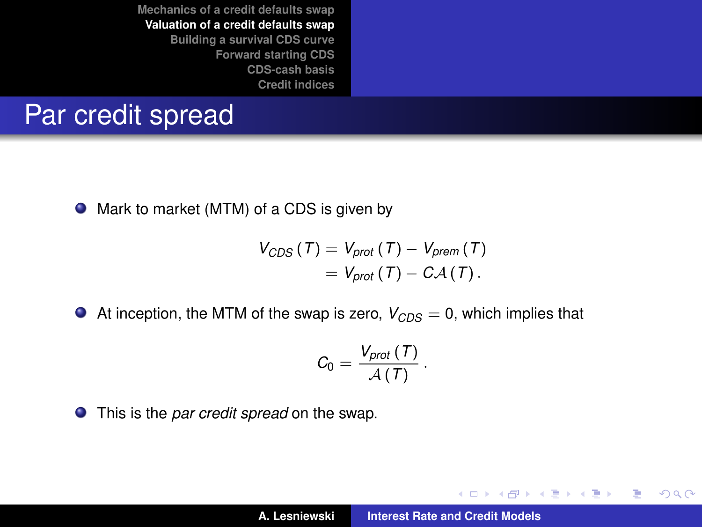#### Par credit spread

● Mark to market (MTM) of a CDS is given by

$$
V_{CDS}(T) = V_{prot}(T) - V_{prem}(T)
$$
  
=  $V_{prot}(T) - CA(T)$ .

At inception, the MTM of the swap is zero,  $V_{CDS} = 0$ , which implies that

$$
C_0 = \frac{V_{prot}\left(T\right)}{A\left(T\right)}
$$

.

イロメ イ部メ イヨメ イヨメー

 $299$ 重

This is the *par credit spread* on the swap.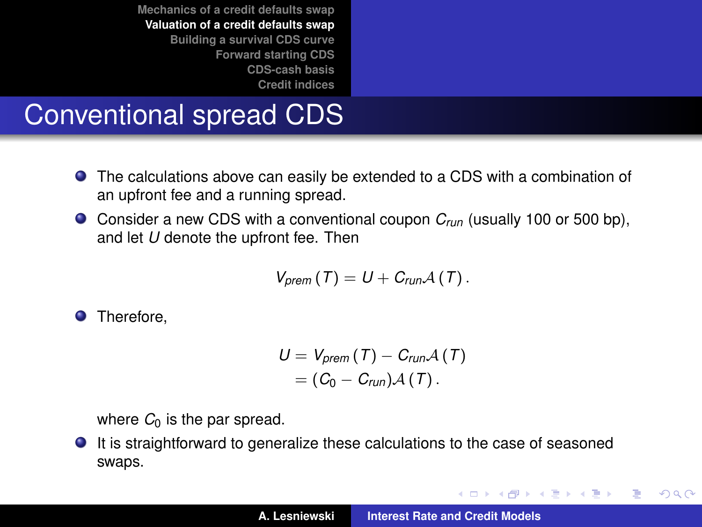# Conventional spread CDS

- The calculations above can easily be extended to a CDS with a combination of an upfront fee and a running spread.
- Consider a new CDS with a conventional coupon *Crun* (usually 100 or 500 bp), and let *U* denote the upfront fee. Then

$$
V_{\text{prem}}(T)=U+C_{\text{run}}\mathcal{A}(T).
$$

**O** Therefore,

$$
U = V_{\text{prem}}(T) - C_{\text{run}}\mathcal{A}(T)
$$

$$
= (C_0 - C_{\text{run}})\mathcal{A}(T).
$$

where  $C_0$  is the par spread.

It is straightforward to generalize these calculations to the case of seasoned swaps.

イロメ イ部メ イヨメ イヨメー

 $299$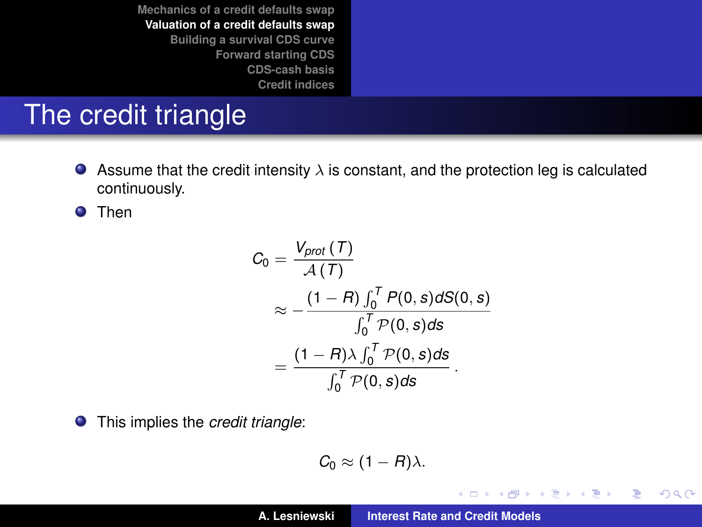# The credit triangle

Assume that the credit intensity  $\lambda$  is constant, and the protection leg is calculated  $\bullet$ continuously.

**O** Then

$$
C_0 = \frac{V_{prot}(T)}{\mathcal{A}(T)}
$$
  
\n
$$
\approx -\frac{(1 - R) \int_0^T P(0, s) dS(0, s)}{\int_0^T P(0, s) ds}
$$
  
\n
$$
= \frac{(1 - R) \lambda \int_0^T P(0, s) ds}{\int_0^T P(0, s) ds}.
$$

This implies the *credit triangle*:  $\bullet$ 

$$
C_0 \approx (1 - R)\lambda.
$$

イロメ イ部メ イヨメ イヨメー

 $299$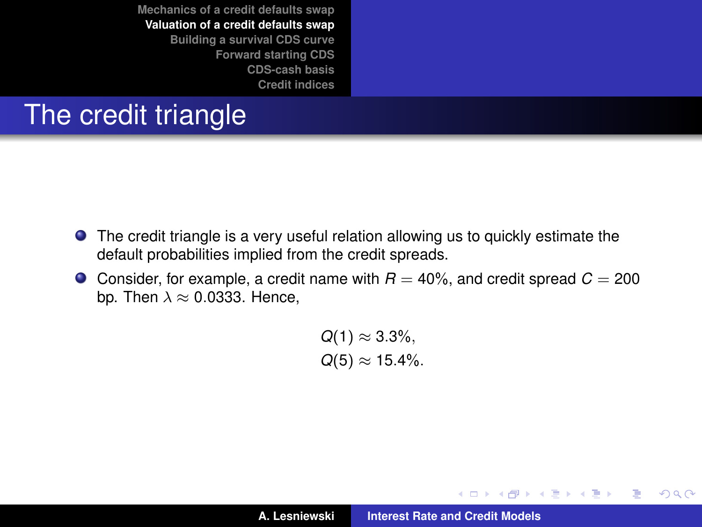# The credit triangle

- The credit triangle is a very useful relation allowing us to quickly estimate the default probabilities implied from the credit spreads.
- **O** Consider, for example, a credit name with  $R = 40\%$ , and credit spread  $C = 200$ bp. Then  $\lambda \approx 0.0333$ . Hence,

 $Q(1) \approx 3.3\%$ ,  $Q(5) \approx 15.4\%$ .

**A. Lesniewski [Interest Rate and Credit Models](#page-0-0)**

イロメ イ部メ イヨメ イヨメー

 $299$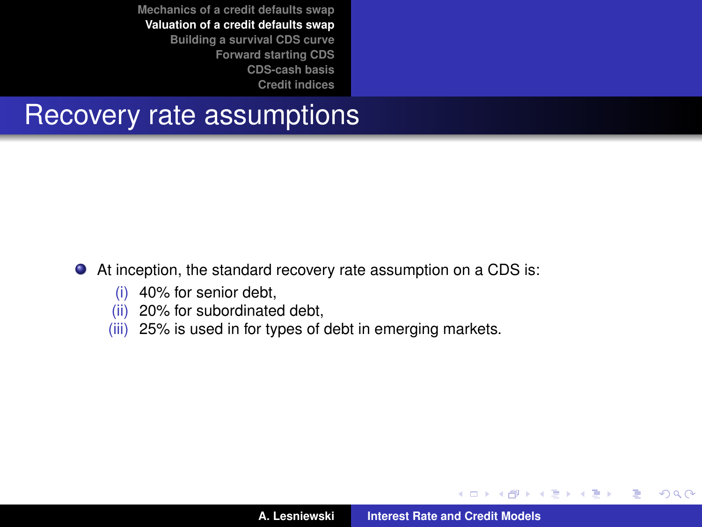#### Recovery rate assumptions

#### At inception, the standard recovery rate assumption on a CDS is:

- (i) 40% for senior debt,
- (ii) 20% for subordinated debt,
- (iii) 25% is used in for types of debt in emerging markets.

イロメ イ部メ イヨメ イヨメー

 $299$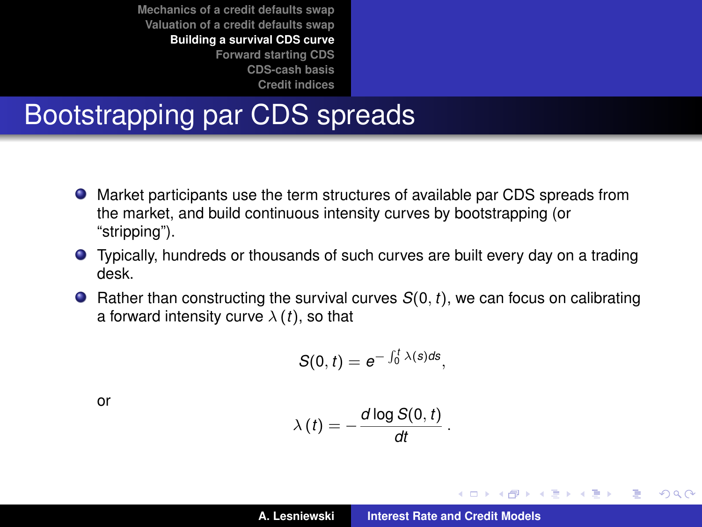# Bootstrapping par CDS spreads

- Market participants use the term structures of available par CDS spreads from the market, and build continuous intensity curves by bootstrapping (or "stripping").
- Typically, hundreds or thousands of such curves are built every day on a trading desk.
- **•** Rather than constructing the survival curves  $S(0, t)$ , we can focus on calibrating a forward intensity curve  $\lambda(t)$ , so that

$$
S(0,t)=e^{-\int_0^t \lambda(s)ds},
$$

or

$$
\lambda(t) = -\frac{d \log S(0, t)}{dt}
$$

.

イロメ イ団メ イヨメ イヨメー

 $299$ 

<span id="page-27-0"></span>÷.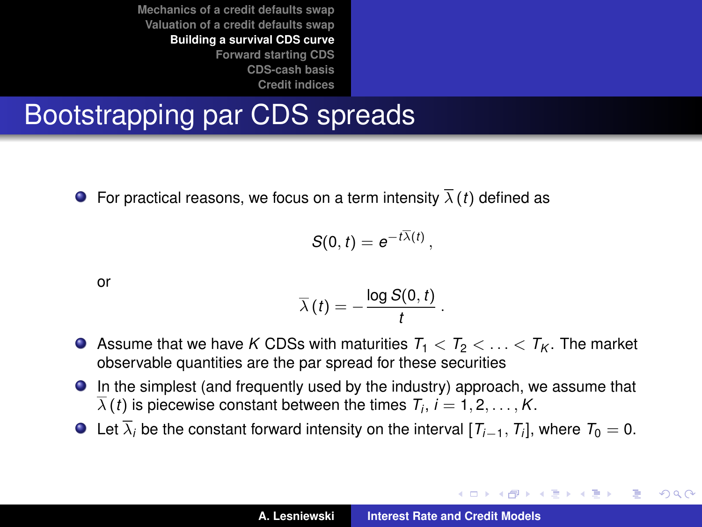# Bootstrapping par CDS spreads

**•** For practical reasons, we focus on a term intensity  $\overline{\lambda}(t)$  defined as

$$
S(0,t)=e^{-t\overline{\lambda}(t)},
$$

or

$$
\overline{\lambda}(t)=-\frac{\log S(0,t)}{t}.
$$

- Assume that we have *K* CDSs with maturities  $T_1 < T_2 < \ldots < T_K$ . The market observable quantities are the par spread for these securities
- In the simplest (and frequently used by the industry) approach, we assume that  $\lambda$  (*t*) is piecewise constant between the times  $T_i$ ,  $i=1,2,\ldots,K.$
- Let  $\lambda_i$  be the constant forward intensity on the interval  $[T_{i-1}, T_i]$ , where  $T_0 = 0$ .

イロメ イ団メ イヨメ イヨメー

B

 $QQQ$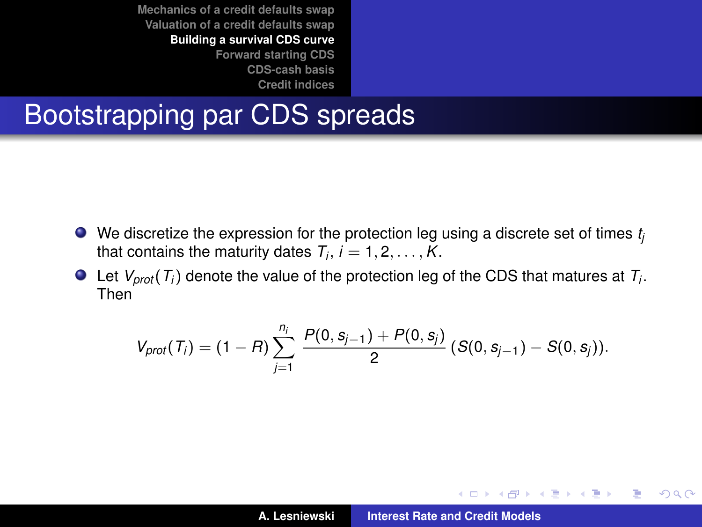# Bootstrapping par CDS spreads

- We discretize the expression for the protection leg using a discrete set of times *t<sub>i</sub>* that contains the maturity dates  $T_i$ ,  $i = 1, 2, \ldots, K$ .
- Let *Vprot* (*T<sup>i</sup>* ) denote the value of the protection leg of the CDS that matures at *T<sup>i</sup>* . Then

$$
V_{prot}(T_i) = (1 - R) \sum_{j=1}^{n_i} \frac{P(0, s_{j-1}) + P(0, s_j)}{2} (S(0, s_{j-1}) - S(0, s_j)).
$$

イロメ イ部メ イヨメ イヨメー

 $2Q$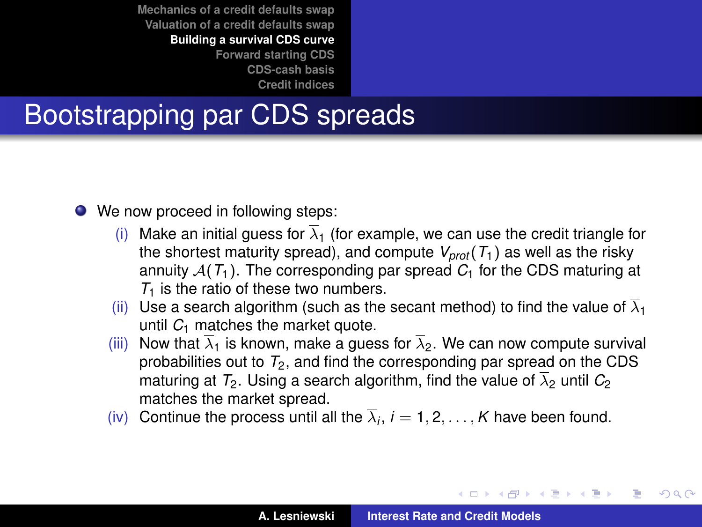# Bootstrapping par CDS spreads

- We now proceed in following steps:
	- (i) Make an initial guess for  $\overline{\lambda}_1$  (for example, we can use the credit triangle for the shortest maturity spread), and compute  $V_{prot}(T_1)$  as well as the risky annuity  $A(T_1)$ . The corresponding par spread  $C_1$  for the CDS maturing at *T*<sub>1</sub> is the ratio of these two numbers.
	- (ii) Use a search algorithm (such as the secant method) to find the value of  $\overline{\lambda}_1$ until  $C_1$  matches the market quote.
	- (iii) Now that  $\overline{\lambda}_1$  is known, make a quess for  $\overline{\lambda}_2$ . We can now compute survival probabilities out to  $T_2$ , and find the corresponding par spread on the CDS maturing at  $T_2$ . Using a search algorithm, find the value of  $\overline{\lambda}_2$  until  $C_2$ matches the market spread.
	- (iv) Continue the process until all the  $\lambda_i$ ,  $i = 1, 2, \ldots, K$  have been found.

(ロ) (個) (運) (運)

Þ  $2Q$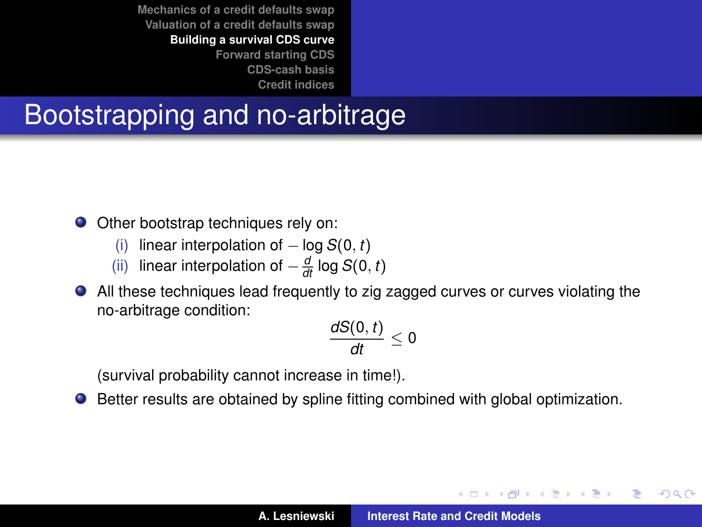# Bootstrapping and no-arbitrage

● Other bootstrap techniques rely on:

- (i) linear interpolation of − log *S*(0, *t*)
- (ii) linear interpolation of  $-\frac{d}{dt} \log S(0, t)$
- All these techniques lead frequently to zig zagged curves or curves violating the no-arbitrage condition:

$$
\frac{dS(0,t)}{dt}\leq 0
$$

(survival probability cannot increase in time!).

Better results are obtained by spline fitting combined with global optimization.

イロメ イ部メ イヨメ イヨメー

Þ

 $QQQ$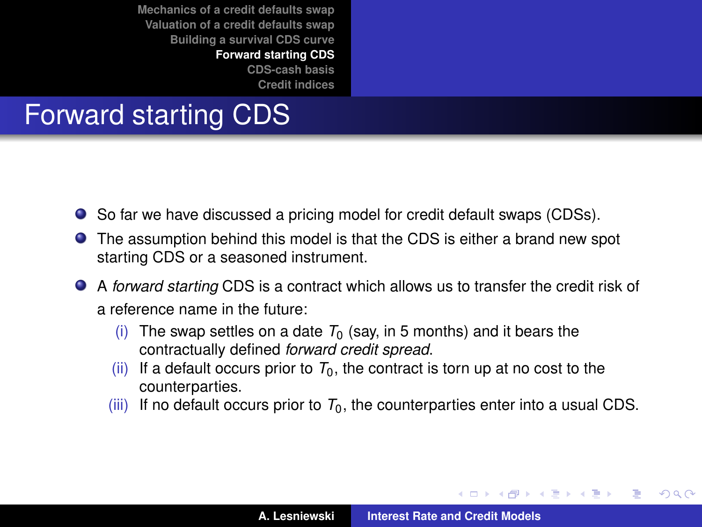**[Credit indices](#page-38-0)**

# Forward starting CDS

- So far we have discussed a pricing model for credit default swaps (CDSs).
- The assumption behind this model is that the CDS is either a brand new spot starting CDS or a seasoned instrument.
- A *forward starting* CDS is a contract which allows us to transfer the credit risk of a reference name in the future:
	- (i) The swap settles on a date  $T_0$  (say, in 5 months) and it bears the contractually defined *forward credit spread*.
	- (ii) If a default occurs prior to  $T_0$ , the contract is torn up at no cost to the counterparties.
	- (iii) If no default occurs prior to  $T_0$ , the counterparties enter into a usual CDS.

イロメ イ部メ イヨメ イヨメー

<span id="page-32-0"></span>Þ

 $QQ$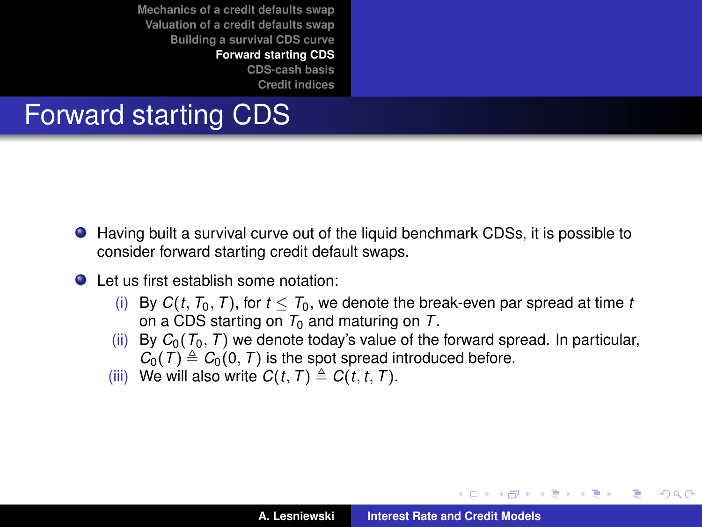**[Mechanics of a credit defaults swap](#page-2-0) [Valuation of a credit defaults swap](#page-12-0) [Building a survival CDS curve](#page-27-0) [Forward starting CDS](#page-32-0)**

**[CDS-cash basis](#page-36-0) [Credit indices](#page-38-0)**

# Forward starting CDS

- Having built a survival curve out of the liquid benchmark CDSs, it is possible to consider forward starting credit default swaps.
- Let us first establish some notation:
	- (i) By  $C(t, T_0, T)$ , for  $t \leq T_0$ , we denote the break-even par spread at time *t* on a CDS starting on  $T_0$  and maturing on  $T_1$ .
	- (ii) By  $C_0(T_0, T)$  we denote today's value of the forward spread. In particular,  $C_0(T) \triangleq C_0(0, T)$  is the spot spread introduced before.
	- (iii) We will also write  $C(t, T) \triangleq C(t, t, T)$ .

K ロ ▶ K 御 ▶ K 唐 ▶ K 唐 ▶ .

Þ

 $QQQ$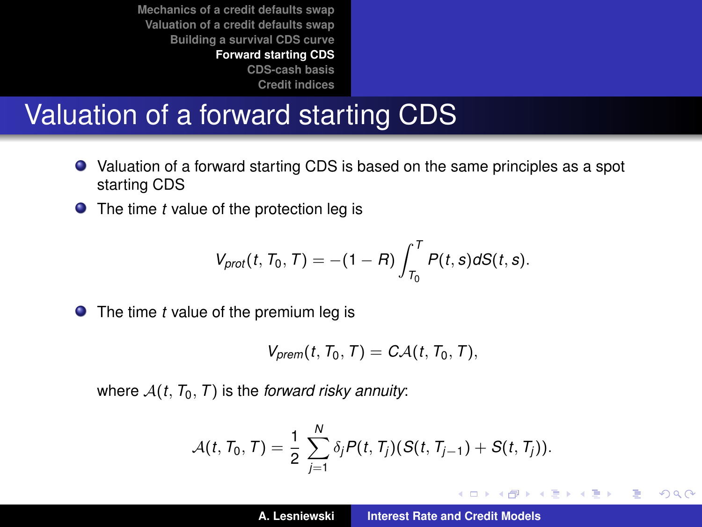# Valuation of a forward starting CDS

- Valuation of a forward starting CDS is based on the same principles as a spot starting CDS
- The time *t* value of the protection leg is

$$
V_{prot}(t, T_0, T) = -(1 - R) \int_{T_0}^{T} P(t, s) dS(t, s).
$$

● The time *t* value of the premium leg is

$$
V_{\text{prem}}(t, T_0, T) = C \mathcal{A}(t, T_0, T),
$$

where  $A(t, T_0, T)$  is the *forward risky annuity*:

$$
\mathcal{A}(t, T_0, T) = \frac{1}{2} \sum_{j=1}^N \delta_j P(t, T_j) (S(t, T_{j-1}) + S(t, T_j)).
$$

イロメ イ部メ イヨメ イヨメー

重  $2Q$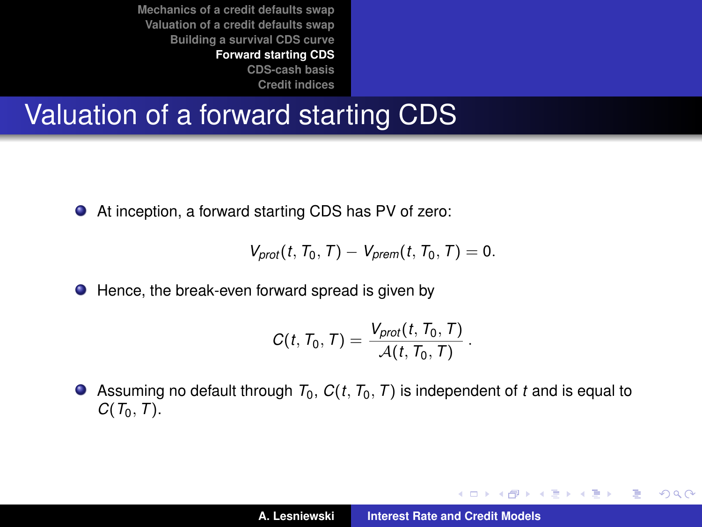# Valuation of a forward starting CDS

● At inception, a forward starting CDS has PV of zero:

$$
V_{prot}(t, T_0, T) - V_{prem}(t, T_0, T) = 0.
$$

● Hence, the break-even forward spread is given by

$$
C(t, T_0, T) = \frac{V_{prot}(t, T_0, T)}{\mathcal{A}(t, T_0, T)}
$$

.

イロメ イ団メ イヨメ イヨメー

重  $2Q$ 

Assuming no default through  $T_0$ ,  $C(t, T_0, T)$  is independent of t and is equal to *C*(*T*0, *T*).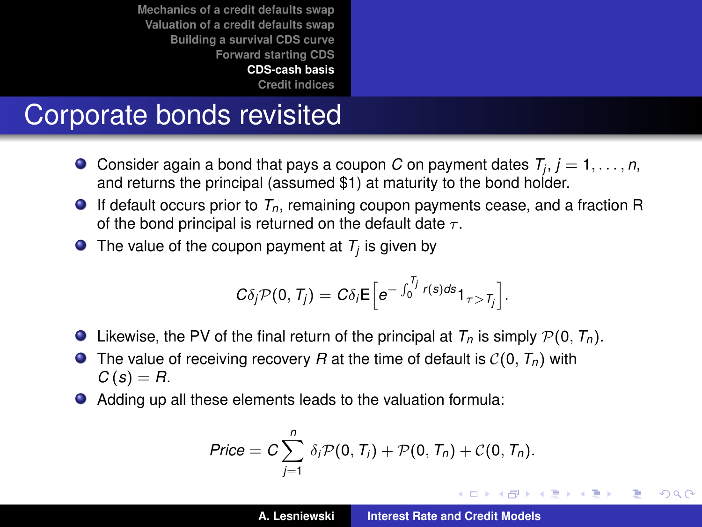**[Credit indices](#page-38-0)**

# Corporate bonds revisited

- Consider again a bond that pays a coupon *C* on payment dates *T<sup>j</sup>* , *j* = 1, . . . , *n*, and returns the principal (assumed \$1) at maturity to the bond holder.
- $\bullet$  If default occurs prior to  $T_n$ , remaining coupon payments cease, and a fraction R of the bond principal is returned on the default date  $\tau$ .
- The value of the coupon payment at  $T_j$  is given by

$$
C\delta_j \mathcal{P}(0,T_j) = C\delta_j \mathsf{E}\Big[e^{-\int_0^{T_j} r(s)ds} 1_{\tau > T_j}\Big].
$$

- $\bullet$  Likewise, the PV of the final return of the principal at  $T_n$  is simply  $\mathcal{P}(0, T_n)$ .
- **•** The value of receiving recovery *R* at the time of default is  $C(0, T<sub>n</sub>)$  with  $C(s) = R$ .
- Adding up all these elements leads to the valuation formula:

$$
Price = C \sum_{j=1}^n \delta_j \mathcal{P}(0, T_j) + \mathcal{P}(0, T_n) + C(0, T_n).
$$

イロメ イ部メ イヨメ イヨメー

<span id="page-36-0"></span>Þ  $2Q$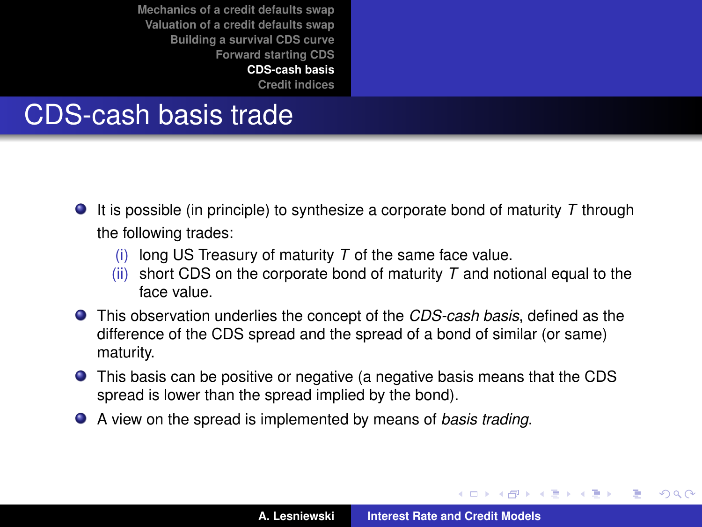#### CDS-cash basis trade

- It is possible (in principle) to synthesize a corporate bond of maturity *T* through the following trades:
	- long US Treasury of maturity  $T$  of the same face value.
	- (ii) short CDS on the corporate bond of maturity  $T$  and notional equal to the face value.
- This observation underlies the concept of the *CDS-cash basis*, defined as the difference of the CDS spread and the spread of a bond of similar (or same) maturity.
- This basis can be positive or negative (a negative basis means that the CDS spread is lower than the spread implied by the bond).
- A view on the spread is implemented by means of *basis trading*.

イロメ イ部メ イ君メ イ君メー

 $QQ$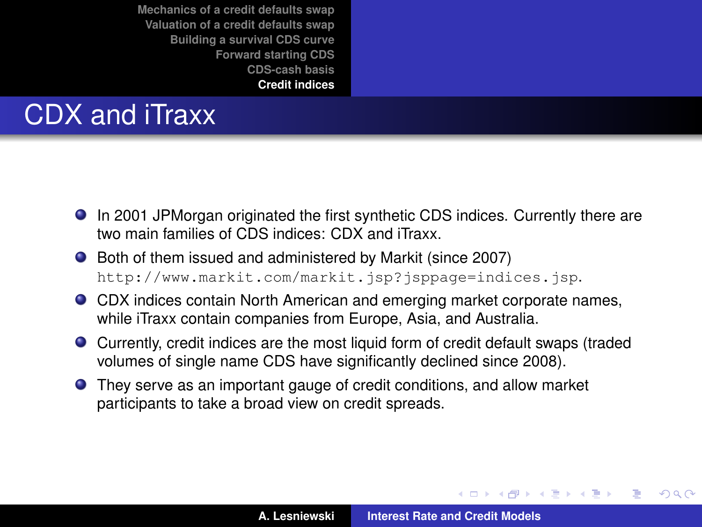# CDX and iTraxx

- In 2001 JPMorgan originated the first synthetic CDS indices. Currently there are two main families of CDS indices: CDX and iTraxx.
- Both of them issued and administered by Markit (since 2007) <http://www.markit.com/markit.jsp?jsppage=indices.jsp>.
- CDX indices contain North American and emerging market corporate names, while iTraxx contain companies from Europe, Asia, and Australia.
- Currently, credit indices are the most liquid form of credit default swaps (traded volumes of single name CDS have significantly declined since 2008).
- They serve as an important gauge of credit conditions, and allow market participants to take a broad view on credit spreads.

(ロトス個) (運) (運)

<span id="page-38-0"></span> $2Q$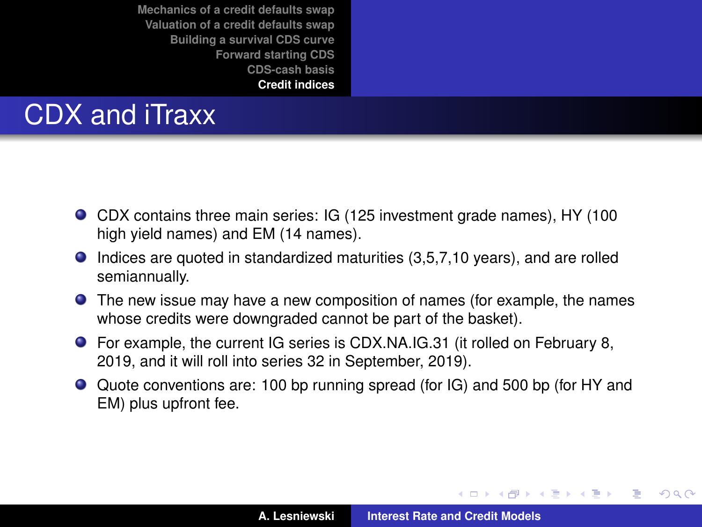# CDX and iTraxx

- CDX contains three main series: IG (125 investment grade names), HY (100 high yield names) and EM (14 names).
- Indices are quoted in standardized maturities (3,5,7,10 years), and are rolled semiannually.
- The new issue may have a new composition of names (for example, the names whose credits were downgraded cannot be part of the basket).
- For example, the current IG series is CDX.NA.IG.31 (it rolled on February 8, 2019, and it will roll into series 32 in September, 2019).
- Quote conventions are: 100 bp running spread (for IG) and 500 bp (for HY and EM) plus upfront fee.

イロメ イ部メ イ君メ イ君メー

 $299$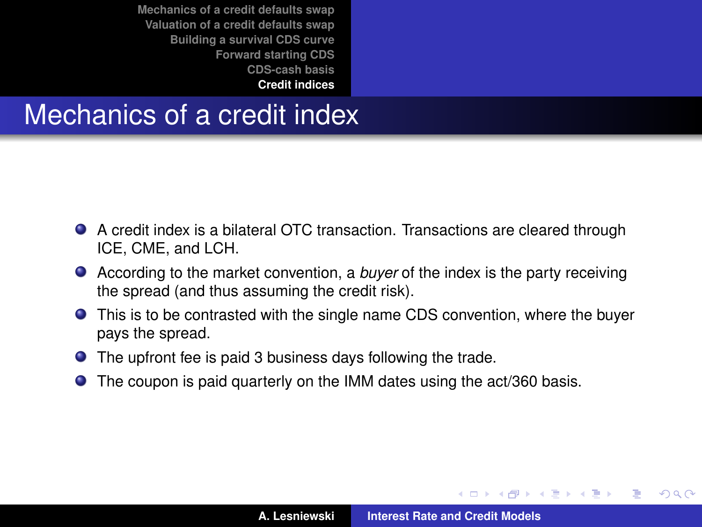#### Mechanics of a credit index

- A credit index is a bilateral OTC transaction. Transactions are cleared through ICE, CME, and LCH.
- According to the market convention, a *buyer* of the index is the party receiving the spread (and thus assuming the credit risk).
- This is to be contrasted with the single name CDS convention, where the buyer pays the spread.
- The upfront fee is paid 3 business days following the trade.
- The coupon is paid quarterly on the IMM dates using the act/360 basis.

(ロトス個) (運) (運)

Þ

 $QQ$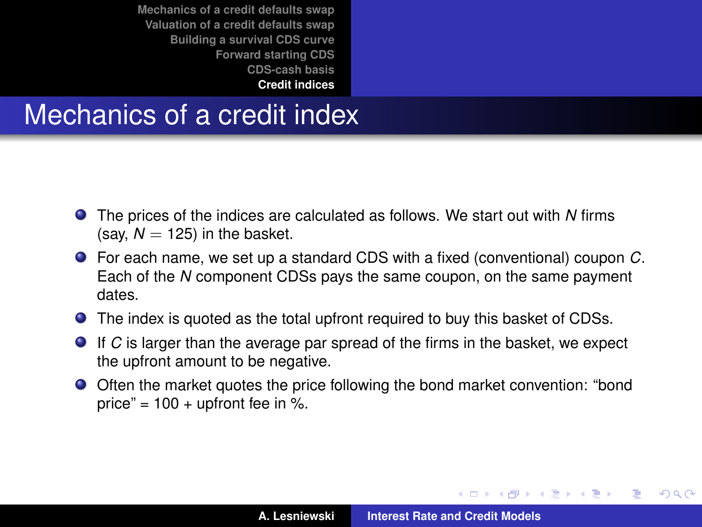## Mechanics of a credit index

- The prices of the indices are calculated as follows. We start out with *N* firms (say,  $N = 125$ ) in the basket.
- For each name, we set up a standard CDS with a fixed (conventional) coupon *C*. Each of the *N* component CDSs pays the same coupon, on the same payment dates.
- The index is quoted as the total upfront required to buy this basket of CDSs.
- If *C* is larger than the average par spread of the firms in the basket, we expect the upfront amount to be negative.
- Often the market quotes the price following the bond market convention: "bond price" =  $100 +$  upfront fee in %.

イロメ イ部メ イ君メ イ君メー

 $299$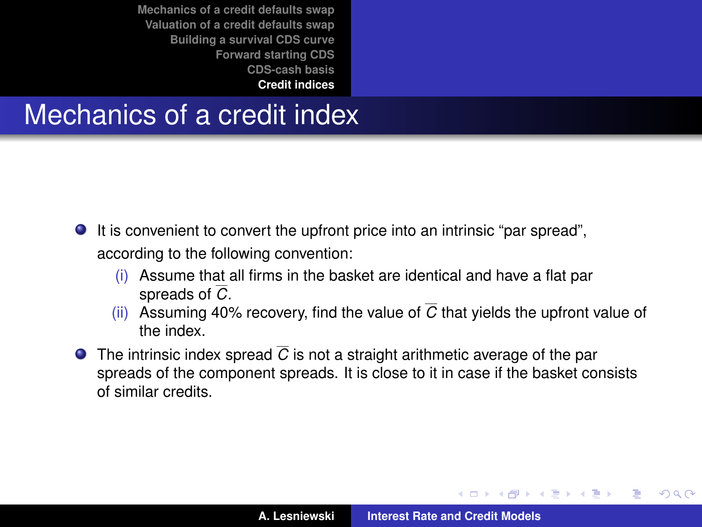#### Mechanics of a credit index

- It is convenient to convert the upfront price into an intrinsic "par spread", according to the following convention:
	- (i) Assume that all firms in the basket are identical and have a flat par spreads of *C*.
	- (ii) Assuming 40% recovery, find the value of  $\overline{C}$  that yields the upfront value of the index.
- **The intrinsic index spread**  $\overline{C}$  **is not a straight arithmetic average of the par** spreads of the component spreads. It is close to it in case if the basket consists of similar credits.

 $\left\{ \begin{array}{ccc} 1 & 0 & 0 \\ 0 & 1 & 0 \end{array} \right.$ 

 $QQ$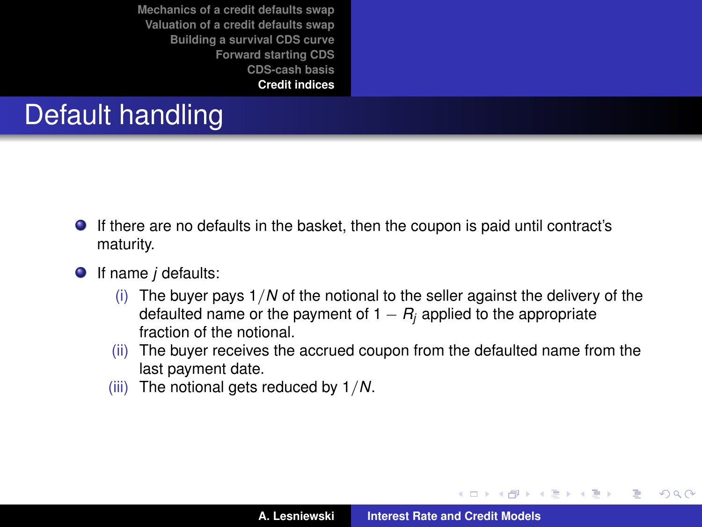# Default handling

- If there are no defaults in the basket, then the coupon is paid until contract's maturity.
- If name *j* defaults:
	- (i) The buyer pays 1/*N* of the notional to the seller against the delivery of the defaulted name or the payment of  $1 - R_i$  applied to the appropriate fraction of the notional
	- (ii) The buyer receives the accrued coupon from the defaulted name from the last payment date.
	- (iii) The notional gets reduced by 1/*N*.

K ロ ▶ K 御 ▶ K 唐 ▶ K 唐 ▶ .

Þ

 $298$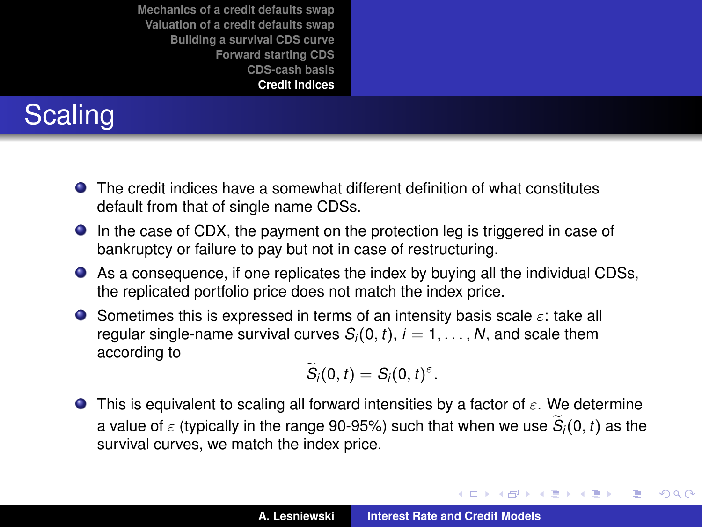# **Scaling**

- The credit indices have a somewhat different definition of what constitutes default from that of single name CDSs.
- In the case of CDX, the payment on the protection leg is triggered in case of bankruptcy or failure to pay but not in case of restructuring.
- As a consequence, if one replicates the index by buying all the individual CDSs, the replicated portfolio price does not match the index price.
- Sometimes this is expressed in terms of an intensity basis scale  $\varepsilon$ : take all regular single-name survival curves  $S_i(0, t)$ ,  $i = 1, \ldots, N$ , and scale them according to

$$
\widetilde{S}_i(0,t)=S_i(0,t)^{\varepsilon}.
$$

**This is equivalent to scaling all forward intensities by a factor of**  $\varepsilon$ **. We determine** a value of  $\varepsilon$  (typically in the range 90-95%) such that when we use  $S_i(0, t)$  as the survival curves, we match the index price.

イロメ イ部メ イ君メ イ君メー

 $299$